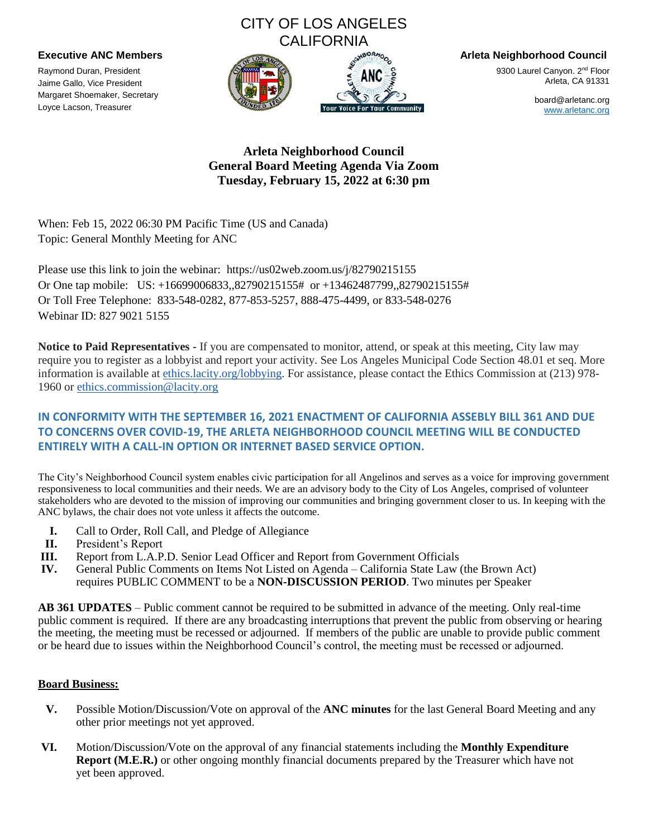# CITY OF LOS ANGELES **CALIFORNIA**



**Executive ANC Members Arleta Neighborhood Council**

9300 Laurel Canyon. 2<sup>nd</sup> Floor Arleta, CA 91331

> board@arletanc.org www.arletanc.org

## **Arleta Neighborhood Council General Board Meeting Agenda Via Zoom Tuesday, February 15, 2022 at 6:30 pm**

When: Feb 15, 2022 06:30 PM Pacific Time (US and Canada) Topic: General Monthly Meeting for ANC

Please use this link to join the webinar: https://us02web.zoom.us/j/82790215155 Or One tap mobile: US: +16699006833,,82790215155# or +13462487799,,82790215155# Or Toll Free Telephone: 833-548-0282, 877-853-5257, 888-475-4499, or 833-548-0276 Webinar ID: 827 9021 5155

**Notice to Paid Representatives -** If you are compensated to monitor, attend, or speak at this meeting, City law may require you to register as a lobbyist and report your activity. See Los Angeles Municipal Code Section 48.01 et seq. More information is available at ethics.lacity.org/lobbying. For assistance, please contact the Ethics Commission at (213) 978- 1960 or ethics.commission@lacity.org

## **IN CONFORMITY WITH THE SEPTEMBER 16, 2021 ENACTMENT OF CALIFORNIA ASSEBLY BILL 361 AND DUE TO CONCERNS OVER COVID-19, THE ARLETA NEIGHBORHOOD COUNCIL MEETING WILL BE CONDUCTED ENTIRELY WITH A CALL-IN OPTION OR INTERNET BASED SERVICE OPTION.**

The City's Neighborhood Council system enables civic participation for all Angelinos and serves as a voice for improving government responsiveness to local communities and their needs. We are an advisory body to the City of Los Angeles, comprised of volunteer stakeholders who are devoted to the mission of improving our communities and bringing government closer to us. In keeping with the ANC bylaws, the chair does not vote unless it affects the outcome.

- **I.** Call to Order, Roll Call, and Pledge of Allegiance
- **II.** President's Report

Raymond Duran, President Jaime Gallo, Vice President Margaret Shoemaker, Secretary Loyce Lacson, Treasurer

- **III.** Report from L.A.P.D. Senior Lead Officer and Report from Government Officials
- **IV.** General Public Comments on Items Not Listed on Agenda California State Law (the Brown Act) requires PUBLIC COMMENT to be a **NON-DISCUSSION PERIOD**. Two minutes per Speaker

**AB 361 UPDATES** – Public comment cannot be required to be submitted in advance of the meeting. Only real-time public comment is required. If there are any broadcasting interruptions that prevent the public from observing or hearing the meeting, the meeting must be recessed or adjourned. If members of the public are unable to provide public comment or be heard due to issues within the Neighborhood Council's control, the meeting must be recessed or adjourned.

### **Board Business:**

- **V.** Possible Motion/Discussion/Vote on approval of the **ANC minutes** for the last General Board Meeting and any other prior meetings not yet approved.
- **VI.** Motion/Discussion/Vote on the approval of any financial statements including the **Monthly Expenditure Report (M.E.R.)** or other ongoing monthly financial documents prepared by the Treasurer which have not yet been approved.